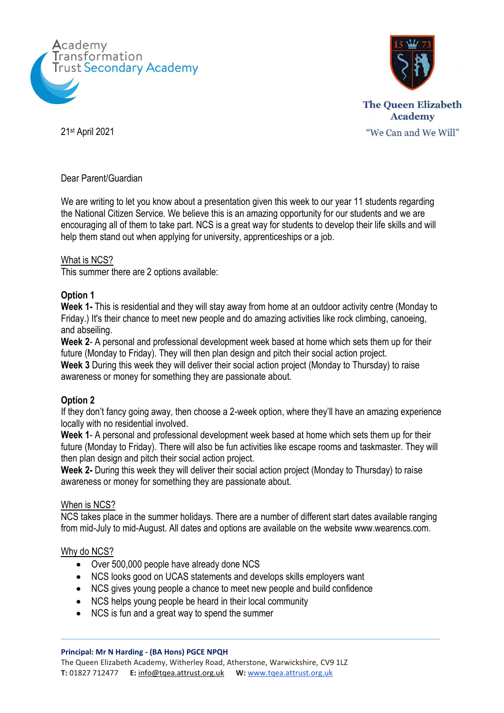



"We Can and We Will"

21st April 2021

Dear Parent/Guardian

We are writing to let you know about a presentation given this week to our year 11 students regarding the National Citizen Service. We believe this is an amazing opportunity for our students and we are encouraging all of them to take part. NCS is a great way for students to develop their life skills and will help them stand out when applying for university, apprenticeships or a job.

#### What is NCS?

This summer there are 2 options available:

# **Option 1**

**Week 1-** This is residential and they will stay away from home at an outdoor activity centre (Monday to Friday.) It's their chance to meet new people and do amazing activities like rock climbing, canoeing, and abseiling.

**Week 2**- A personal and professional development week based at home which sets them up for their future (Monday to Friday). They will then plan design and pitch their social action project.

**Week 3** During this week they will deliver their social action project (Monday to Thursday) to raise awareness or money for something they are passionate about.

# **Option 2**

If they don't fancy going away, then choose a 2-week option, where they'll have an amazing experience locally with no residential involved.

**Week 1**- A personal and professional development week based at home which sets them up for their future (Monday to Friday). There will also be fun activities like escape rooms and taskmaster. They will then plan design and pitch their social action project.

**Week 2-** During this week they will deliver their social action project (Monday to Thursday) to raise awareness or money for something they are passionate about.

# When is NCS?

NCS takes place in the summer holidays. There are a number of different start dates available ranging from mid-July to mid-August. All dates and options are available on the website www.wearencs.com.

# Why do NCS?

- Over 500,000 people have already done NCS
- NCS looks good on UCAS statements and develops skills employers want
- NCS gives young people a chance to meet new people and build confidence
- NCS helps young people be heard in their local community
- NCS is fun and a great way to spend the summer

#### **Principal: Mr N Harding - (BA Hons) PGCE NPQH**